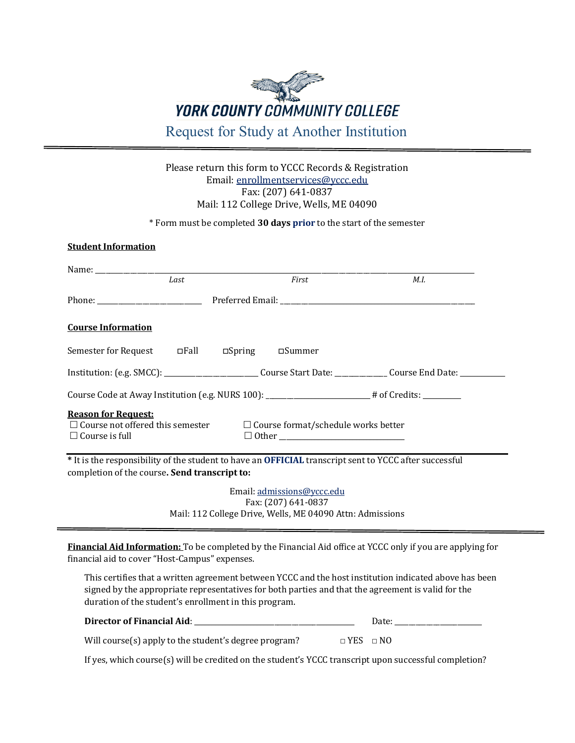

## Please return this form to YCCC Records & Registration Email: [enrollmentservices@yccc.edu](mailto:enrollmentservices@yccc.edu) Fax: (207) 641-0837 Mail: 112 College Drive, Wells, ME 04090

\* Form must be completed **30 days prior** to the start of the semester

## **Student Information**

|                                                                     | Last | First                                                                                                          | M.I.                                                                                                          |
|---------------------------------------------------------------------|------|----------------------------------------------------------------------------------------------------------------|---------------------------------------------------------------------------------------------------------------|
|                                                                     |      |                                                                                                                |                                                                                                               |
| <b>Course Information</b>                                           |      |                                                                                                                |                                                                                                               |
| Semester for Request are all and pring a moment of Distring a meta- |      |                                                                                                                |                                                                                                               |
|                                                                     |      |                                                                                                                | Institution: (e.g. SMCC): ________________________Course Start Date: ____________ Course End Date: __________ |
|                                                                     |      |                                                                                                                | Course Code at Away Institution (e.g. NURS 100): _____________________# of Credits: ________                  |
| <b>Reason for Request:</b><br>$\Box$ Course is full                 |      | $\Box$ Course not offered this semester $\Box$ Course format/schedule works better<br>$\Box$ Other             |                                                                                                               |
| completion of the course. Send transcript to:                       |      |                                                                                                                | * It is the responsibility of the student to have an OFFICIAL transcript sent to YCCC after successful        |
|                                                                     |      | Email: admissions@yccc.edu<br>Fax: (207) 641-0837<br>Mail: 112 College Drive, Wells, ME 04090 Attn: Admissions |                                                                                                               |

**Financial Aid Information:** To be completed by the Financial Aid office at YCCC only if you are applying for financial aid to cover "Host-Campus" expenses.

This certifies that a written agreement between YCCC and the host institution indicated above has been signed by the appropriate representatives for both parties and that the agreement is valid for the duration of the student's enrollment in this program.

| <b>Director of Financial Aid:</b> |  |
|-----------------------------------|--|
|-----------------------------------|--|

Will course(s) apply to the student's degree program? **□** YES **□** NO

If yes, which course(s) will be credited on the student's YCCC transcript upon successful completion?